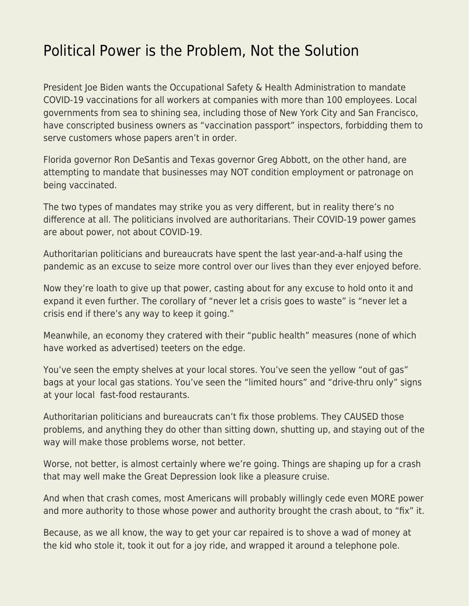## [Political Power is the Problem, Not the Solution](https://everything-voluntary.com/political-power-is-the-problem-not-the-solution)

President Joe Biden wants the Occupational Safety & Health Administration to mandate COVID-19 vaccinations for all workers at companies with more than 100 employees. Local governments from sea to shining sea, including those of New York City and San Francisco, have conscripted business owners as "vaccination passport" inspectors, forbidding them to serve customers whose papers aren't in order.

Florida governor Ron DeSantis and Texas governor Greg Abbott, on the other hand, are attempting to mandate that businesses may NOT condition employment or patronage on being vaccinated.

The two types of mandates may strike you as very different, but in reality there's no difference at all. The politicians involved are authoritarians. Their COVID-19 power games are about power, not about COVID-19.

Authoritarian politicians and bureaucrats have spent the last year-and-a-half using the pandemic as an excuse to seize more control over our lives than they ever enjoyed before.

Now they're loath to give up that power, casting about for any excuse to hold onto it and expand it even further. The corollary of "never let a crisis goes to waste" is "never let a crisis end if there's any way to keep it going."

Meanwhile, an economy they cratered with their "public health" measures (none of which have worked as advertised) teeters on the edge.

You've seen the empty shelves at your local stores. You've seen the yellow "out of gas" bags at your local gas stations. You've seen the "limited hours" and "drive-thru only" signs at your local fast-food restaurants.

Authoritarian politicians and bureaucrats can't fix those problems. They CAUSED those problems, and anything they do other than sitting down, shutting up, and staying out of the way will make those problems worse, not better.

Worse, not better, is almost certainly where we're going. Things are shaping up for a crash that may well make the Great Depression look like a pleasure cruise.

And when that crash comes, most Americans will probably willingly cede even MORE power and more authority to those whose power and authority brought the crash about, to "fix" it.

Because, as we all know, the way to get your car repaired is to shove a wad of money at the kid who stole it, took it out for a joy ride, and wrapped it around a telephone pole.